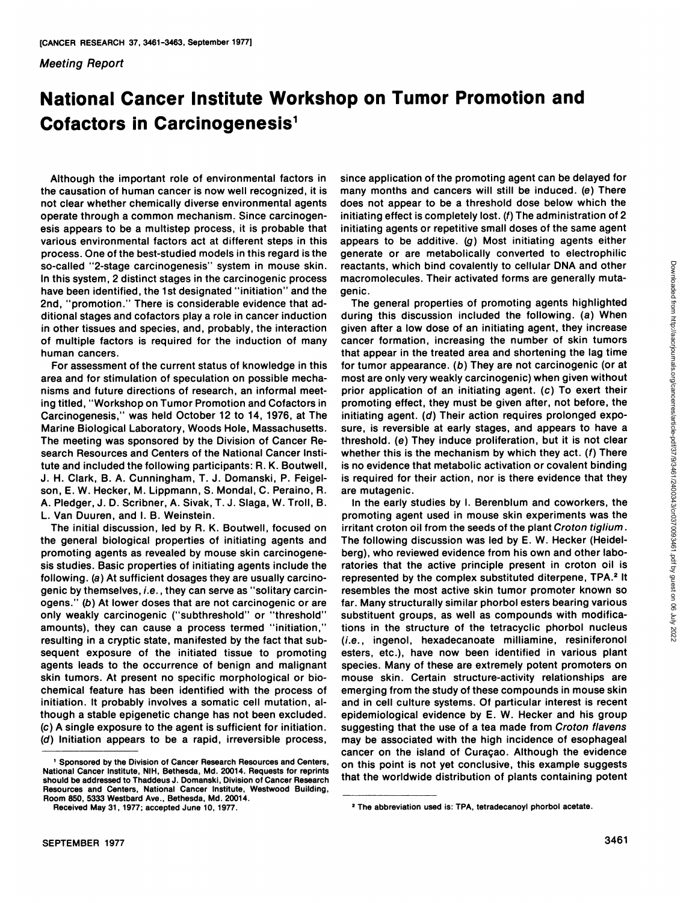## Meeting Report

## **National Cancer Institute Workshop on Tumor Promotion and Cofactors in Carcinogenesis<sup>1</sup>**

Although the important role of environmental factors in the causation of human cancer is now well recognized, it is not clear whether chemically diverse environmental agents operate through a common mechanism. Since carcinogenesis appears to be a multistep process, it is probable that various environmental factors act at different steps in this process. One of the best-studied models in this regard is the so-called "2-stage carcinogenesis" system in mouse skin. In this system, <sup>2</sup> distinct stages in the carcinogenic process have been identified, the 1st designated "initiation" and the 2nd, "promotion." There is considerable evidence that ad ditional stages and cofactors play a role in cancer induction in other tissues and species, and, probably, the interaction of multiple factors is required for the induction of many human cancers.

For assessment of the current status of knowledge in this area and for stimulation of speculation on possible mecha nisms and future directions ofresearch, an informal meet ing titled, "Workshop on Tumor Promotion and Cofactors in Carcinogenesis," was held October 12 to 14, 1976, at The Marine Biological Laboratory, Woods Hole, Massachusetts. The meeting was sponsored by the Division of Cancer Re search Resources and Centers of the National Cancer Insti tute and included the following participants: R. K. Boutwell, J. H. Clark, B. A. Cunningham, T. J. Domanski, P. Feigelson, E. W. Hecker, M. Lippmann, S. Mondai, C. Peraino, R. A. Pledger, J. D. Scribner, A. Sivak, T. J. Slaga, W. Troll, B. L. Van Duuren, and l. B. Weinstein.

The initial discussion, led by R. K. Boutwell, focused on the general biological properties of initiating agents and promoting agents as revealed by mouse skin carcinogene sis studies. Basic properties of initiating agents include the following. (a) At sufficient dosages they are usually carcino-<br>genic by themselves, *i.e.*, they can serve as "solitary carcinogens." (b) At lower doses that are not carcinogenic or are only weakly carcinogenic ("subthreshold" or "threshold" amounts), they can cause a process termed "initiation," resulting in a cryptic state, manifested by the fact that sub sequent exposure of the initiated tissue to promoting agents leads to the occurrence of benign and malignant skin tumors. At present no specific morphological or bio chemical feature has been identified with the process of initiation. It probably involves a somatic cell mutation, although a stable epigenetic change has not been excluded. (c) A single exposure to the agent is sufficient for initiation. (d) Initiation appears to be a rapid, irreversible process, since application of the promoting agent can be delayed for many months and cancers will still be induced, (e) There does not appear to be a threshold dose below which the initiating effect is completely lost, (f) The administration of 2 initiating agents or repetitive small doses of the same agent appears to be additive, (g) Most initiating agents either generate or are metabolically converted to electrophilic reactants, which bind covalently to cellular DNA and other macromolecules. Their activated forms are generally mutagenie.

The general properties of promoting agents highlighted reactants, which bind covalently to cellular DNA and other<br>genic.<br>
The general properties of promoting agents highlighted<br>
genic.<br>
The general properties of promoting agents highlighted<br>
genic.<br>
The general properties of given after a low dose of an initiating agent, they increase cancer formation, increasing the number of skin tumors that appear in the treated area and shortening the lag time for tumor appearance, (b) They are not carcinogenic (or at most are only very weakly carcinogenic) when given without prior application of an initiating agent, (c) To exert their promoting effect, they must be given after, not before, the initiating agent. (d) Their action requires prolonged exposure, is reversible at early stages, and appears to have a threshold, (e) They induce proliferation, but it is not clear whether this is the mechanism by which they act.  $(f)$  There is no evidence that metabolic activation or covalent binding is required for their action, nor is there evidence that they are mutagenic.

In the early studies by I. Berenblum and coworkers, the promoting agent used in mouse skin experiments was the irritant croton oil from the seeds of the plant Croton tiglium. The following discussion was led by E. W. Hecker (Heidel berg), who reviewed evidence from his own and other labo ratories that the active principle present in croton oil is represented by the complex substituted diterpene, TPA.<sup>2</sup> It resembles the most active skin tumor promoter known so far. Many structurally similar phorbol esters bearing various substituent groups, as well as compounds with modifications in the structure of the tetracyclic phorbol nucleus (i.e., ingenol, hexadecanoate milliamine, resiniferonol esters, etc.), have now been identified in various plant species. Many of these are extremely potent promoters on mouse skin. Certain structure-activity relationships are emerging from the study of these compounds in mouse skin and in cell culture systems. Of particular interest is recent epidemiological evidence by E. W. Hecker and his group suggesting that the use of a tea made from Croton flavens may be associated with the high incidence of esophageal cancer on the island of Curaçao. Although the evidence on this point is not yet conclusive, this example suggests that the worldwide distribution of plants containing potent

<sup>&#</sup>x27; Sponsored by the Division of Cancer Research Resources and Centers, National Cancer Institute, NIH, Bethesda, Md. 20014. Requests for reprints should be addressed to Thaddeus J. Domanski, Division of Cancer Research Resources and Centers, National Cancer Institute, Westwood Building, Room 850, 5333 Westbard Ave., Bethesda, Md. 20014.

Received May 31, 1977; accepted June 10,1977.

<sup>2</sup>The abbreviation used is: TPA, tetradecanoyl phorbol acetate.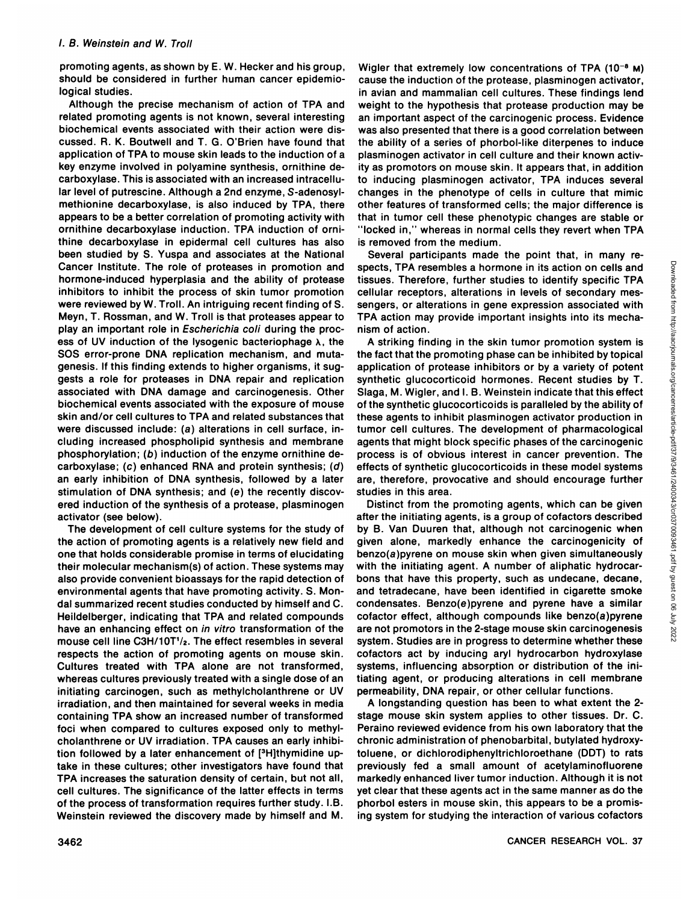promoting agents, as shown by E. W. Hecker and his group, should be considered in further human cancer epidemiological studies.

Although the precise mechanism of action of TPA and related promoting agents is not known, several interesting biochemical events associated with their action were dis cussed. R. K. Boutwell and T. G. O'Brien have found that application of TPA to mouse skin leads to the induction of a key enzyme involved in polyamine synthesis, ornithine decarboxylase. This is associated with an increased intracellular level of putrescine. Although a 2nd enzyme, S-adenosylmethionine decarboxylase, is also induced by TPA, there appears to be a better correlation of promoting activity with ornithine decarboxylase induction. TPA induction of orni thine decarboxylase in epidermal cell cultures has also been studied by S. Yuspa and associates at the National Cancer Institute. The role of proteases in promotion and hormone-induced hyperplasia and the ability of protease inhibitors to inhibit the process of skin tumor promotion were reviewed by W. Troll. An intriguing recent finding of S. Meyn, T. Rossman, and W. Troll is that proteases appear to play an important role in Escherichia coli during the proc ess of UV induction of the lysogenic bacteriophage  $\lambda$ , the SOS error-prone DNA replication mechanism, and mutagenesis. If this finding extends to higher organisms, it sug gests a role for proteases in DNA repair and replication associated with DNA damage and carcinogenesis. Other biochemical events associated with the exposure of mouse skin and/or cell cultures to TPA and related substances that were discussed include: (a) alterations in cell surface, in cluding increased phospholipid synthesis and membrane phosphorylation; (b) induction of the enzyme ornithine de carboxylase; (c) enhanced RNA and protein synthesis; (d) an early inhibition of DNA synthesis, followed by a later stimulation of DNA synthesis; and (e) the recently discov ered induction of the synthesis of a protease, plasminogen activator (see below).

The development of cell culture systems for the study of the action of promoting agents is a relatively new field and one that holds considerable promise in terms of elucidating their molecular mechanism(s) of action. These systems may also provide convenient bioassays for the rapid detection of environmental agents that have promoting activity. S. Mon dai summarized recent studies conducted by himself and C. Heildelberger, indicating that TPA and related compounds have an enhancing effect on in vitro transformation of the mouse cell line C3H/10T $\frac{1}{2}$ . The effect resembles in several respects the action of promoting agents on mouse skin. Cultures treated with TPA alone are not transformed, whereas cultures previously treated with a single dose of an initiating carcinogen, such as methylcholanthrene or UV irradiation, and then maintained for several weeks in media containing TPA show an increased number of transformed foci when compared to cultures exposed only to methyl cholanthrene or UV irradiation. TPA causes an early inhibition followed by a later enhancement of [3H]thymidine up take in these cultures; other investigators have found that TPA increases the saturation density of certain, but not all, cell cultures. The significance of the latter effects in terms of the process of transformation requires further study. I.B. Weinstein reviewed the discovery made by himself and M.

Wigler that extremely low concentrations of TPA  $(10^{-8}$  M) cause the induction of the protease, plasminogen activator, in avian and mammalian cell cultures. These findings lend weight to the hypothesis that protease production may be an important aspect of the carcinogenic process. Evidence was also presented that there is a good correlation between the ability of a series of phorbol-like diterpenes to induce plasminogen activator in cell culture and their known activ ity as promotors on mouse skin. It appears that, in addition to inducing plasminogen activator, TPA induces several changes in the phenotype of cells in culture that mimic other features of transformed cells; the major difference is that in tumor cell these phenotypic changes are stable or "locked in," whereas in normal cells they revert when TPA is removed from the medium.

spects, TPA resembles a hormone in its action on cells and tissues. Therefore, further studies to identify specific TPA cellular receptors, alterations in levels of secondary mes sengers, or alterations in gene expression associated with TPA action may provide important insights into its mecha nism of action.

Several participants made the point that, in many re-<br>sets, TPA resembles a hormone in its action on cells and<br>sues. Therefore, further studies to identify specific TPA<br>sues. Therefore, further studies to identify specific A striking finding in the skin tumor promotion system is the fact that the promoting phase can be inhibited by topical application of protease inhibitors or by a variety of potent synthetic glucocorticoid hormones. Recent studies by T. Slaga, M. Wigler, and I. B. Weinstein indicate that this effect of the synthetic glucocorticoids is paralleled by the ability of these agents to inhibit plasminogen activator production in tumor cell cultures. The development of pharmacological agents that might block specific phases of the carcinogenic process is of obvious interest in cancer prevention. The effects of synthetic glucocorticoids in these model systems are, therefore, provocative and should encourage further studies in this area.

Distinct from the promoting agents, which can be given after the initiating agents, is a group of cofactors described by B. Van Duuren that, although not carcinogenic when given alone, markedly enhance the carcinogenicity of benzo(a)pyrene on mouse skin when given simultaneously with the initiating agent. A number of aliphatic hydrocarbons that have this property, such as undecane, decane, and tetradecane, have been identified in cigarette smoke condensâtes. Benzo(e)pyrene and pyrene have a similar cofactor effect, although compounds like benzo(a)pyrene are not promotors in the 2-stage mouse skin carcinogenesis system. Studies are in progress to determine whether these cofactors act by inducing aryl hydrocarbon hydroxylase systems, influencing absorption or distribution of the initiating agent, or producing alterations in cell membrane permeability, DNA repair, or other cellular functions.

A longstanding question has been to what extent the 2 stage mouse skin system applies to other tissues. Dr. C. Peraino reviewed evidence from his own laboratory that the chronic administration of phenobarbital, butylated hydroxytoluene, or dichlorodiphenyltrichloroethane (DDT) to rats previously fed a small amount of acetylaminofluorene markedly enhanced liver tumor induction. Although it is not yet clear that these agents act in the same manner as do the phorbol esters in mouse skin, this appears to be a promis ing system for studying the interaction of various cofactors